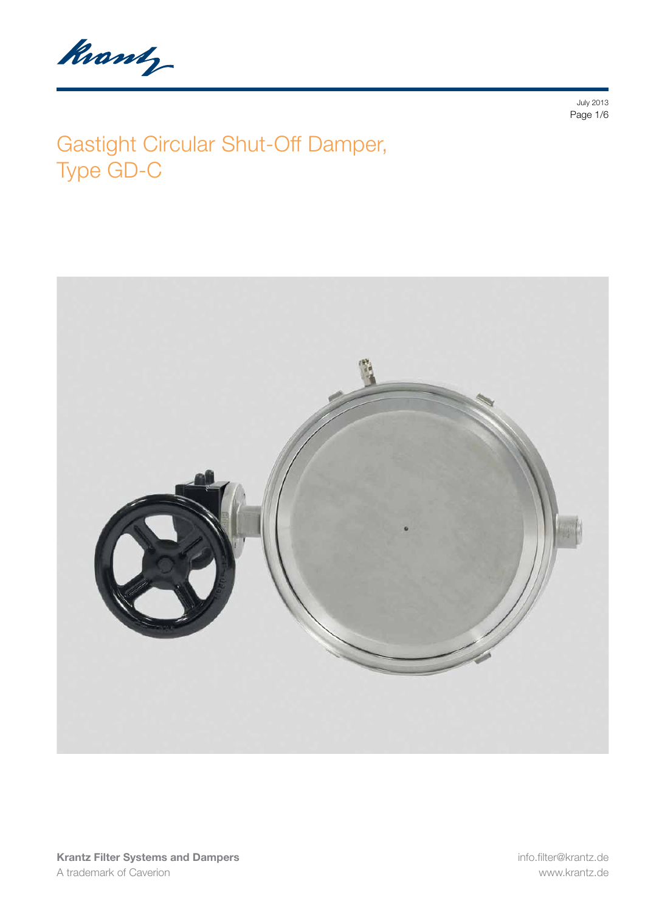Knowly

July 2013 Page 1/6

# Gastight Circular Shut-Off Damper, Type GD-C

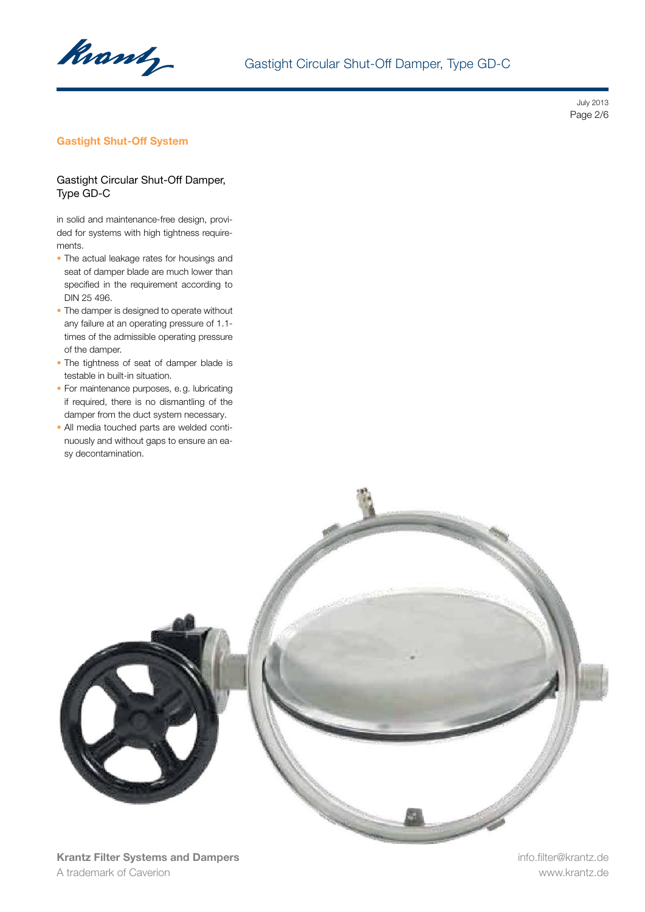

July 2013 Page 2/6

## Gastight Shut-Off System

#### Gastight Circular Shut-Off Damper, Type GD-C

in solid and maintenance-free design, provided for systems with high tightness requirements.

- The actual leakage rates for housings and seat of damper blade are much lower than specified in the requirement according to DIN 25 496.
- The damper is designed to operate without any failure at an operating pressure of 1.1 times of the admissible operating pressure of the damper.
- The tightness of seat of damper blade is testable in built-in situation.
- For maintenance purposes, e.g. lubricating if required, there is no dismantling of the damper from the duct system necessary.
- All media touched parts are welded continuously and without gaps to ensure an easy decontamination.

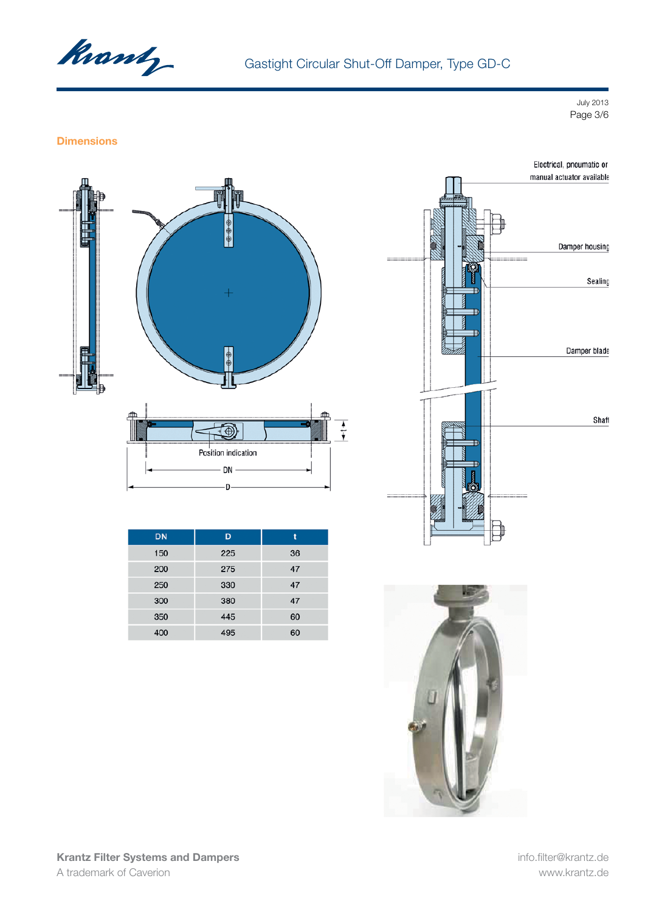

July 2013 Page 3/6

#### **Dimensions**



| <b>DN</b> | D   |    |
|-----------|-----|----|
| 150       | 225 | 36 |
| 200       | 275 | 47 |
| 250       | 330 | 47 |
| 300       | 380 | 47 |
| 350       | 445 | 60 |
| 400       | 495 | 60 |





Krantz Filter Systems and Dampers A trademark of Caverion

info.filter@krantz.de www.krantz.de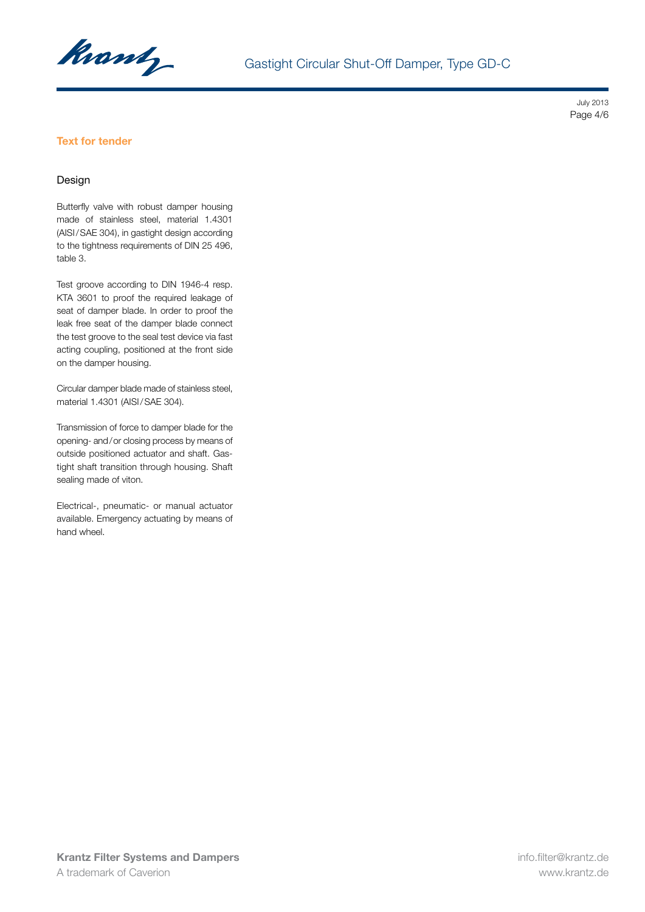

July 2013 Page 4/6

## Text for tender

#### Design

Butterfly valve with robust damper housing made of stainless steel, material 1.4301 (AISI/SAE 304), in gastight design according to the tightness requirements of DIN 25 496, table 3.

Test groove according to DIN 1946-4 resp. KTA 3601 to proof the required leakage of seat of damper blade. In order to proof the leak free seat of the damper blade connect the test groove to the seal test device via fast acting coupling, positioned at the front side on the damper housing.

Circular damper blade made of stainless steel, material 1.4301 (AISI/SAE 304).

Transmission of force to damper blade for the opening- and/or closing process by means of outside positioned actuator and shaft. Gastight shaft transition through housing. Shaft sealing made of viton.

Electrical-, pneumatic- or manual actuator available. Emergency actuating by means of hand wheel.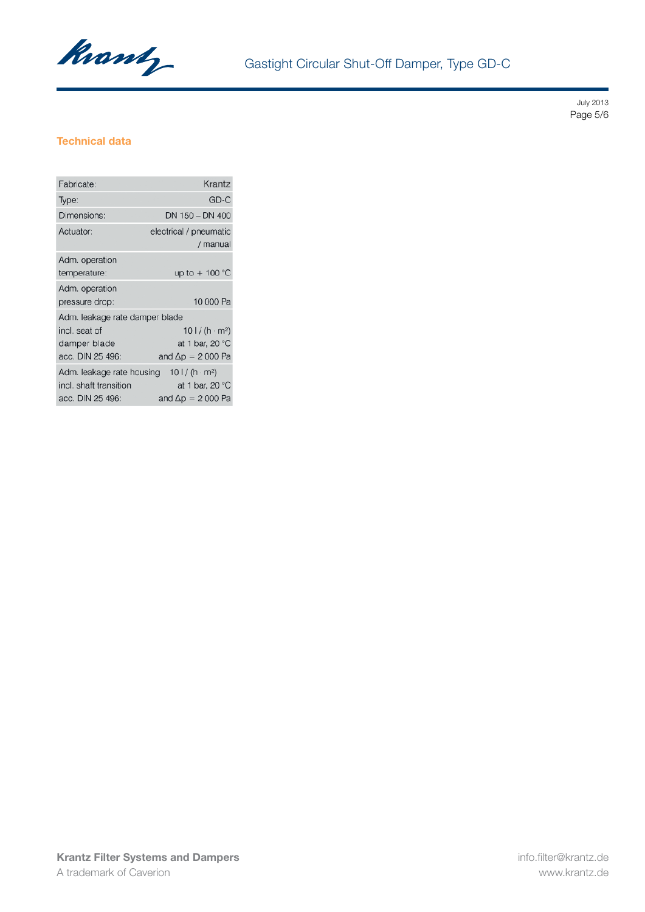

July 2013 Page 5/6

## Technical data

| Fabricate:                                                              | Krantz                                                                       |  |
|-------------------------------------------------------------------------|------------------------------------------------------------------------------|--|
| Type:                                                                   | GD-C                                                                         |  |
| Dimensions:                                                             | DN 150 - DN 400                                                              |  |
| Actuator:                                                               | electrical / pneumatic<br>/ manual                                           |  |
| Adm. operation<br>temperature:                                          | up to $+100$ °C                                                              |  |
| Adm. operation<br>pressure drop:                                        | 10 000 Pa                                                                    |  |
| Adm. leakage rate damper blade                                          |                                                                              |  |
| incl. seat of<br>damper blade<br>acc. DIN 25 496:                       | $101/(h \cdot m^2)$<br>at 1 bar, 20 $^{\circ}$ C<br>and $\Delta p = 2000$ Pa |  |
| Adm. leakage rate housing<br>incl. shaft transition<br>acc. DIN 25 496: | $101/(h \cdot m^2)$<br>at 1 bar, 20 $^{\circ}$ C<br>and $\Delta p = 2000$ Pa |  |